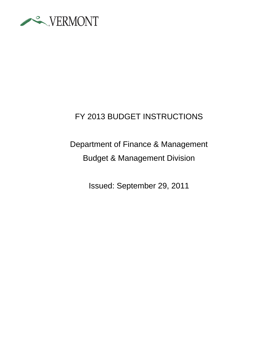

# FY 2013 BUDGET INSTRUCTIONS

# Department of Finance & Management Budget & Management Division

Issued: September 29, 2011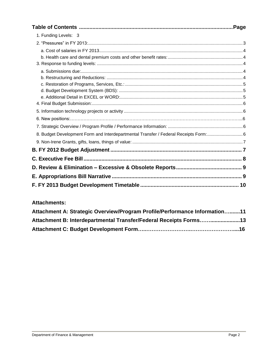|                                                                                     | Page |
|-------------------------------------------------------------------------------------|------|
| 1. Funding Levels: 3                                                                |      |
|                                                                                     |      |
|                                                                                     |      |
|                                                                                     |      |
|                                                                                     |      |
|                                                                                     |      |
|                                                                                     |      |
|                                                                                     |      |
|                                                                                     |      |
|                                                                                     |      |
|                                                                                     |      |
|                                                                                     |      |
|                                                                                     |      |
|                                                                                     |      |
| 8. Budget Development Form and Interdepartmental Transfer / Federal Receipts Form:6 |      |
|                                                                                     |      |
|                                                                                     |      |
|                                                                                     |      |
|                                                                                     |      |
|                                                                                     |      |
|                                                                                     | 10   |

#### **Attachments:**

| Attachment A: Strategic Overview/Program Profile/Performance Information11 |  |
|----------------------------------------------------------------------------|--|
| Attachment B: Interdepartmental Transfer/Federal Receipts Forms13          |  |
|                                                                            |  |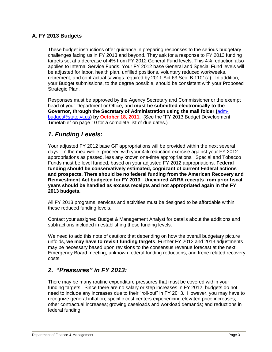#### **A. FY 2013 Budgets**

These budget instructions offer guidance in preparing responses to the serious budgetary challenges facing us in FY 2013 and beyond. They ask for a response to FY 2013 funding targets set at a decrease of 4% from FY 2012 General Fund levels. This 4% reduction also applies to Internal Service Funds. Your FY 2012 base General and Special Fund levels will be adjusted for labor, health plan, unfilled positions, voluntary reduced workweeks, retirement, and contractual savings required by 2011 Act 63 Sec. B.1101(a). In addition, your Budget submissions, to the degree possible, should be consistent with your Proposed Strategic Plan.

Responses must be approved by the Agency Secretary and Commissioner or the exempt head of your Department or Office, and **must be submitted electronically to the Governor, through the Secretary of Administration using the mail folder (**[adm](mailto:mailtoadm-budget@state.vt.us)[budget@state.vt.us](mailto:mailtoadm-budget@state.vt.us)**) by October 18, 2011.** (See the "FY 2013 Budget Development Timetable" on page 10 for a complete list of due dates.)

### *1. Funding Levels:*

Your adjusted FY 2012 base GF appropriations will be provided within the next several days. In the meanwhile, proceed with your 4% reduction exercise against your FY 2012 appropriations as passed, less any known one-time appropriations. Special and Tobacco Funds must be level funded, based on your adjusted FY 2012 appropriations. **Federal funding should be conservatively estimated, cognizant of current Federal actions and prospects. There should be no federal funding from the American Recovery and Reinvestment Act budgeted for FY 2013. Unexpired ARRA receipts from prior fiscal years should be handled as excess receipts and not appropriated again in the FY 2013 budgets.**

All FY 2013 programs, services and activities must be designed to be affordable within these reduced funding levels.

Contact your assigned Budget & Management Analyst for details about the additions and subtractions included in establishing these funding levels.

We need to add this note of caution: that depending on how the overall budgetary picture unfolds, **we may have to revisit funding targets**. Further FY 2012 and 2013 adjustments may be necessary based upon revisions to the consensus revenue forecast at the next Emergency Board meeting, unknown federal funding reductions, and Irene related recovery costs.

### *2. "Pressures" in FY 2013:*

There may be many routine expenditure pressures that must be covered within your funding targets. Since there are no salary or step increases in FY 2012, budgets do not need to include any increases due to their "roll-out" in FY 2013. However, you may have to recognize general inflation; specific cost centers experiencing elevated price increases; other contractual increases; growing caseloads and workload demands; and reductions in federal funding.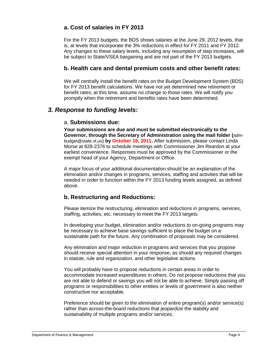### **a. Cost of salaries in FY 2013**

For the FY 2013 budgets, the BDS shows salaries at the June 29, 2012 levels, that is, at levels that incorporate the 3% reductions in effect for FY 2011 and FY 2012. Any changes to these salary levels, including any resumption of step increases, will be subject to State/VSEA bargaining and are not part of the FY 2013 budgets.

#### **b. Health care and dental premium costs and other benefit rates:**

We will centrally install the benefit rates on the Budget Development System (BDS) for FY 2013 benefit calculations. We have not yet determined new retirement or benefit rates; at this time, assume no change to those rates. We will notify you promptly when the retirement and benefits rates have been determined.

### *3. Response to funding levels:*

#### a. **Submissions due:**

**Your submissions are due and must be submitted electronically to the Governor, through the Secretary of Administration using the mail folder (**admbudget@state.vt.us) **by October 18, 2011.** After submission, please contact Linda Morse at 828-2376 to schedule meetings with Commissioner Jim Reardon at your earliest convenience. Responses must be approved by the Commissioner or the exempt head of your Agency, Department or Office.

A major focus of your additional documentation should be an explanation of the elimination and/or changes in programs, services, staffing and activities that will be needed in order to function within the FY 2013 funding levels assigned, as defined above.

#### **b. Restructuring and Reductions:**

Please itemize the restructuring, elimination and reductions in programs, services, staffing, activities, etc. necessary to meet the FY 2013 targets.

In developing your budget, elimination and/or reductions to on-going programs may be necessary to achieve base savings sufficient to place the budget on a sustainable path for the future. Any combination of proposals may be considered.

Any elimination and major reduction in programs and services that you propose should receive special attention in your response, as should any required changes in statute, rule and organization, and other legislative actions.

You will probably have to propose reductions in certain areas in order to accommodate increased expenditures in others. Do not propose reductions that you are not able to defend or savings you will not be able to achieve. Simply passing off programs or responsibilities to other entities or levels of government is also neither constructive nor acceptable.

Preference should be given to the elimination of entire program(s) and/or service(s) rather than across-the-board reductions that jeopardize the stability and sustainability of multiple programs and/or services.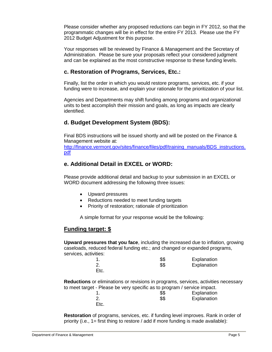Please consider whether any proposed reductions can begin in FY 2012, so that the programmatic changes will be in effect for the entire FY 2013. Please use the FY 2012 Budget Adjustment for this purpose.

Your responses will be reviewed by Finance & Management and the Secretary of Administration. Please be sure your proposals reflect your considered judgment and can be explained as the most constructive response to these funding levels.

#### **c. Restoration of Programs, Services, Etc.:**

Finally, list the order in which you would restore programs, services, etc. if your funding were to increase, and explain your rationale for the prioritization of your list.

Agencies and Departments may shift funding among programs and organizational units to best accomplish their mission and goals, as long as impacts are clearly identified.

### **d. Budget Development System (BDS):**

Final BDS instructions will be issued shortly and will be posted on the Finance & Management website at:

[http://finance.vermont.gov/sites/finance/files/pdf/training\\_manuals/BDS\\_instructions.](http://finance.vermont.gov/sites/finance/files/pdf/training_manuals/BDS_instructions.pdf) [pdf](http://finance.vermont.gov/sites/finance/files/pdf/training_manuals/BDS_instructions.pdf)

### **e. Additional Detail in EXCEL or WORD:**

Please provide additional detail and backup to your submission in an EXCEL or WORD document addressing the following three issues:

- Upward pressures
- Reductions needed to meet funding targets
- Priority of restoration; rationale of prioritization

A simple format for your response would be the following:

### **Funding target: \$**

**Upward pressures that you face**, including the increased due to inflation, growing caseloads, reduced federal funding etc.; and changed or expanded programs, services, activities:

|      | \$\$ | Explanation |
|------|------|-------------|
| 2.   | \$\$ | Explanation |
| Etc. |      |             |

**Reductions** or eliminations or revisions in programs, services, activities necessary to meet target - Please be very specific as to program / service impact.

|      | \$\$ | Explanation |
|------|------|-------------|
|      | \$\$ | Explanation |
| Etc. |      |             |

**Restoration** of programs, services, etc. if funding level improves. Rank in order of priority (i.e., 1= first thing to restore / add if more funding is made available):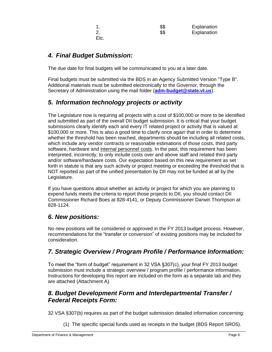Etc.

1. \$\$ Explanation 2. S\$ Explanation

## *4. Final Budget Submission:*

The due date for final budgets will be communicated to you at a later date.

Final budgets must be submitted via the BDS in an Agency Submitted Version "Type B". Additional materials must be submitted electronically to the Governor, through the Secretary of Administration using the mail folder (**[adm-budget@state.vt.us](mailto:mailtoadm-budget@state.vt.us)**).

## *5. Information technology projects or activity*

The Legislature now is requiring all projects with a cost of \$100,000 or more to be identified and submitted as part of the overall DII budget submission. It is critical that your budget submissions clearly identify each and every IT related project or activity that is valued at \$100,000 or more. This is also a good time to clarify once again that in order to determine whether the threshold has been reached, departments should be including all related costs, which include any vendor contracts or reasonable estimations of those costs, third party software, hardware and internal personnel costs. In the past, this requirement has been interpreted, incorrectly, to only include costs over and above staff and related third party and/or software/hardware costs. Our expectation based on this new requirement as set forth in statute is that any such activity or project meeting or exceeding the threshold that is NOT reported as part of the unified presentation by DII may not be funded at all by the Legislature.

If you have questions about whether an activity or project for which you are planning to expend funds meets the criteria to report those projects to DII, you should contact DII Commissioner Richard Boes at 828-4141, or Deputy Commissioner Darwin Thompson at 828-1124.

# *6. New positions:*

No new positions will be considered or approved in the FY 2013 budget process. However, recommendations for the "transfer or conversion" of existing positions may be included for consideration.

### *7. Strategic Overview / Program Profile / Performance Information:*

To meet the "form of budget" requirement in 32 VSA §307(c), your final FY 2013 budget submission must include a strategic overview / program profile / performance information. Instructions for developing this report are included on the form as a separate tab and they are attached (Attachment A).

### *8. Budget Development Form and Interdepartmental Transfer / Federal Receipts Form:*

32 VSA §307(b) requires as part of the budget submission detailed information concerning:

(1) The specific special funds used as receipts in the budget (BDS Report SRO5).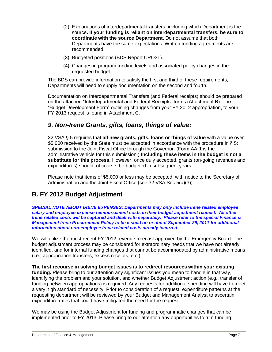- (2) Explanations of interdepartmental transfers, including which Department is the source**. If your funding is reliant on interdepartmental transfers, be sure to coordinate with the source Department.** Do not assume that both Departments have the same expectations. Written funding agreements are recommended.
- (3) Budgeted positions (BDS Report CRO3L).
- (4) Changes in program funding levels and associated policy changes in the requested budget.

The BDS can provide information to satisfy the first and third of these requirements; Departments will need to supply documentation on the second and fourth.

Documentation on Interdepartmental Transfers (and Federal receipts) should be prepared on the attached "Interdepartmental and Federal Receipts" forms (Attachment B). The "Budget Development Form" outlining changes from your FY 2012 appropriation, to your FY 2013 request is found in Attachment C.

### *9. Non-Irene Grants, gifts, loans, things of value:*

32 VSA § 5 requires that **all new grants, gifts, loans or things of value** with a value over \$5,000 received by the State must be accepted in accordance with the procedure in § 5: submission to the Joint Fiscal Office through the Governor. (Form AA-1 is the administrative vehicle for this submission.) **Including these items in the budget is not a substitute for this process.** However, once duly accepted, grants (on-going revenues and expenditures) should, of course, be budgeted in subsequent years.

Please note that items of \$5,000 or less may be accepted, with notice to the Secretary of Administration and the Joint Fiscal Office (see 32 VSA Sec 5(a)(3)).

# **B. FY 2012 Budget Adjustment**

*SPECIAL NOTE ABOUT IRENE EXPENSES: Departments may only include Irene related employee salary and employee expense reimbursement costs in their budget adjustment request. All other Irene related costs will be captured and dealt with separately. Please refer to the special Finance & Management Irene Procurement Policy to be issued on or about September 29, 2011 for additional information about non-employee Irene related costs already incurred.*

We will utilize the most recent FY 2012 revenue forecast approved by the Emergency Board. The budget adjustment process may be considered for extraordinary needs that we have not already identified, and for internal funding changes that cannot be accommodated by administrative means (i.e., appropriation transfers, excess receipts, etc.).

**The first recourse in solving budget issues is to redirect resources within your existing funding.** Please bring to our attention any significant issues you mean to handle in that way, identifying the problem and your solution, and whether Budget Adjustment action (e.g., transfer of funding between appropriations) is required. Any requests for additional spending will have to meet a very high standard of necessity. Prior to consideration of a request, expenditure patterns at the requesting department will be reviewed by your Budget and Management Analyst to ascertain expenditure rates that could have mitigated the need for the request.

We may be using the Budget Adjustment for funding and programmatic changes that can be implemented prior to FY 2013. Please bring to our attention any opportunities to trim funding,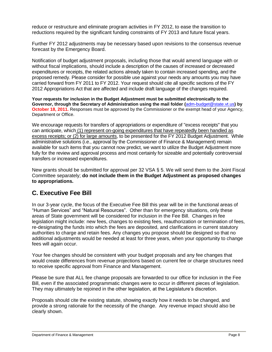reduce or restructure and eliminate program activities in FY 2012, to ease the transition to reductions required by the significant funding constraints of FY 2013 and future fiscal years.

Further FY 2012 adjustments may be necessary based upon revisions to the consensus revenue forecast by the Emergency Board.

Notification of budget adjustment proposals, including those that would amend language with or without fiscal implications, should include a description of the causes of increased or decreased expenditures or receipts, the related actions already taken to contain increased spending, and the proposed remedy. Please consider for possible use against your needs any amounts you may have carried forward from FY 2011 to FY 2012. Your request should cite all specific sections of the FY 2012 Appropriations Act that are affected and include draft language of the changes required.

**Your requests for inclusion in the Budget Adjustment must be submitted electronically to the Governor, through the Secretary of Administration using the mail folder (**[adm-budget@state.vt.us](mailto:mailtoadm-budget@state.vt.us)**) by October 18, 2011.** Responses must be approved by the Commissioner or the exempt head of your Agency, Department or Office.

We encourage requests for transfers of appropriations or expenditure of "excess receipts" that you can anticipate, which (1) represent on-going expenditures that have repeatedly been handled as excess receipts; or (2) for large amounts, to be presented for the FY 2012 Budget Adjustment. While administrative solutions (i.e., approval by the Commissioner of Finance & Management) remain available for such items that you cannot now predict, we want to utilize the Budget Adjustment more fully for the review and approval process and most certainly for sizeable and potentially controversial transfers or increased expenditures.

New grants should be submitted for approval per 32 VSA § 5. We will send them to the Joint Fiscal Committee separately; **do not include them in the Budget Adjustment as proposed changes to appropriations.**

# **C. Executive Fee Bill**

In our 3-year cycle, the focus of the Executive Fee Bill this year will be in the functional areas of "Human Services" and "Natural Resources". Other than for emergency situations, only these areas of State government will be considered for inclusion in the Fee Bill. Changes in fee legislation might include: new fees, changes to existing fees, reauthorization or termination of fees, re-designating the funds into which the fees are deposited, and clarifications in current statutory authorities to charge and retain fees. Any changes you propose should be designed so that no additional adjustments would be needed at least for three years, when your opportunity to change fees will again occur.

Your fee changes should be consistent with your budget proposals and any fee changes that would create differences from revenue projections based on current fee or charge structures need to receive specific approval from Finance and Management.

Please be sure that ALL fee change proposals are forwarded to our office for inclusion in the Fee Bill, even if the associated programmatic changes were to occur in different pieces of legislation. They may ultimately be rejoined in the other legislation, at the Legislature's discretion.

Proposals should cite the existing statute, showing exactly how it needs to be changed, and provide a strong rationale for the necessity of the change. Any revenue impact should also be clearly shown.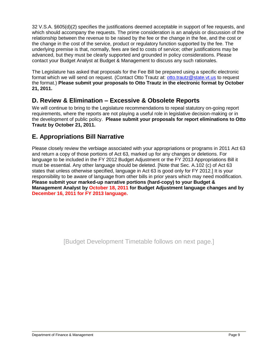32 V.S.A. §605(d)(2) specifies the justifications deemed acceptable in support of fee requests, and which should accompany the requests. The prime consideration is an analysis or discussion of the relationship between the revenue to be raised by the fee or the change in the fee, and the cost or the change in the cost of the service, product or regulatory function supported by the fee. The underlying premise is that, normally, fees are tied to costs of service; other justifications may be advanced, but they must be clearly supported and grounded in policy considerations. Please contact your Budget Analyst at Budget & Management to discuss any such rationales.

The Legislature has asked that proposals for the Fee Bill be prepared using a specific electronic format which we will send on request. (Contact Otto Trautz at: [otto.trautz@state.vt.us](mailto:otto.trautz@state.vt.us) to request the format.) **Please submit your proposals to Otto Trautz in the electronic format by October 21, 2011.**

# **D. Review & Elimination – Excessive & Obsolete Reports**

We will continue to bring to the Legislature recommendations to repeal statutory on-going report requirements, where the reports are not playing a useful role in legislative decision-making or in the development of public policy. **Please submit your proposals for report eliminations to Otto Trautz by October 21, 2011.**

# **E. Appropriations Bill Narrative**

Please closely review the verbiage associated with your appropriations or programs in 2011 Act 63 and return a copy of those portions of Act 63, marked up for any changes or deletions. For language to be included in the FY 2012 Budget Adjustment or the FY 2013 Appropriations Bill it must be essential. Any other language should be deleted. [Note that Sec. A.102 (c) of Act 63 states that unless otherwise specified, language in Act 63 is good only for FY 2012.] It is your responsibility to be aware of language from other bills in prior years which may need modification. **Please submit your marked-up narrative portions (hard-copy) to your Budget & Management Analyst by October 18, 2011 for Budget Adjustment language changes and by December 16, 2011 for FY 2013 language.**

[Budget Development Timetable follows on next page.]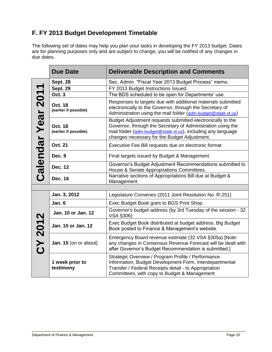# **F. FY 2013 Budget Development Timetable**

The following set of dates may help you plan your tasks in developing the FY 2013 budget. Dates are for planning purposes only and are subject to change; you will be notified of any changes in due dates.

|                    | <b>Due Date</b>                         | <b>Deliverable Description and Comments</b>                                                                                                                                                                                               |
|--------------------|-----------------------------------------|-------------------------------------------------------------------------------------------------------------------------------------------------------------------------------------------------------------------------------------------|
|                    | <b>Sept. 28</b>                         | Sec. Admin. "Fiscal Year 2013 Budget Process" memo.                                                                                                                                                                                       |
|                    | <b>Sept. 29</b>                         | FY 2013 Budget Instructions Issued.                                                                                                                                                                                                       |
|                    | <b>Oct. 3</b>                           | The BDS scheduled to be open for Departments' use.                                                                                                                                                                                        |
|                    | <b>Oct. 18</b><br>(earlier if possible) | Responses to targets due with additional materials submitted<br>electronically to the Governor, through the Secretary of<br>Administration using the mail folder (adm-budget@state.vt.us)                                                 |
| Calendar Year 2011 | <b>Oct. 18</b><br>(earlier if possible) | Budget Adjustment requests submitted electronically to the<br>Governor, through the Secretary of Administration using the<br>mail folder (adm-budget@state.vt.us), including any language<br>changes necessary for the Budget Adjustment. |
|                    | <b>Oct. 21</b>                          | Executive Fee Bill requests due on electronic format                                                                                                                                                                                      |
|                    | Dec. 9                                  | Final targets issued by Budget & Management.                                                                                                                                                                                              |
|                    | <b>Dec. 12</b>                          | Governor's Budget Adjustment Recommendations submitted to<br>House & Senate Appropriations Committees.                                                                                                                                    |
|                    | <b>Dec. 16</b>                          | Narrative sections of Appropriations Bill due at Budget &<br>Management                                                                                                                                                                   |
|                    |                                         |                                                                                                                                                                                                                                           |
|                    | Jan. 3, 2012                            | Legislature Convenes (2011 Joint Resolution No. R-251)                                                                                                                                                                                    |
|                    | Jan. 6                                  | Exec Budget Book goes to BGS Print Shop.                                                                                                                                                                                                  |
|                    | Jan. 10 or Jan. 12                      | Governor's budget address (by 3rd Tuesday of the session - 32<br>VSA §306)                                                                                                                                                                |
|                    | Jan. 10 or Jan. 12                      | Exec Budget Book distributed at budget address. Big Budget<br>Book posted to Finance & Management's website.                                                                                                                              |
| CY 2012            | Jan. 15 (on or about)                   | Emergency Board revenue estimate (32 VSA §305a) [Note:<br>any changes in Consensus Revenue Forecast will be dealt with<br>after Governor's Budget Recommendation is submitted.]                                                           |
|                    | 1 week prior to<br>testimony            | Strategic Overview / Program Profile / Performance<br>Information, Budget Development Form, Interdepartmental<br>Transfer / Federal Receipts detail - to Appropriation<br>Committees, with copy to Budget & Management                    |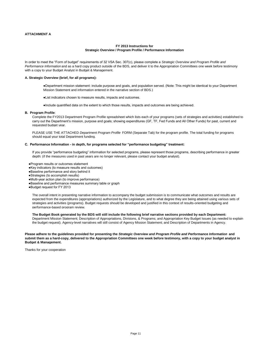#### **ATTACHMENT A**

#### **FY 2013 Instructions for Strategic Overview / Program Profile / Performance Information**

In order to meet the "Form of budget" requirements of 32 VSA Sec. 307(c), please complete a *Strategic Overview and Program Profile and Performance Information* and as a hard copy product outside of the BDS, and deliver it to the Appropriation Committees one week before testimony with a copy to your Budget Analyst in Budget & Management.

#### **A. Strategic Overview (brief, for all programs):**

- ●Department mission statement: include purpose and goals, and population served. (Note: This might be identical to your Department Mission Statement and information entered in the narrative section of BDS.)
- ●List indicators chosen to measure results, impacts and outcomes.
- ●Include quantified data on the extent to which those results, impacts and outcomes are being achieved.

#### **B. Program Profile**:

Complete the FY2013 Department Program Profile spreadsheet which lists each of your programs (sets of strategies and activities) established to carry out the Department's mission, purpose and goals; showing expenditures (GF, TF, Fed Funds and All Other Funds) for past, current and requested budget year.

PLEASE USE THE ATTACHED *Department Program Profile* FORM (Separate Tab) for the program profile. The total funding for programs should equal your total Department funding.

#### **C. Performance Information - in depth, for programs selected for "performance budgeting" treatment:**

If you provide "performance budgeting" information for selected programs, please represent those programs, describing performance in greater depth: (if the measures used in past years are no longer relevant, please contact your budget analyst).

●Program results or outcomes statement

- ●Key indicators (to measure results and outcomes)
- ●Baseline performance and story behind it
- ●Strategies (to accomplish results)
- ●Multi-year action plan (to improve performance)
- ●Baseline and performance measures summary table or graph
- ●Budget request for FY 2013

The overall intent in presenting narrative information to accompany the budget submission is to communicate what outcomes and results are expected from the expenditures (appropriations) authorized by the Legislature, and to what degree they are being attained using various sets of strategies and activities (programs). Budget requests should be developed and justified in this context of results-oriented budgeting and performance-based program review.

#### **The Budget Book generated by the BDS will still include the following brief narrative sections provided by each Department:**

Department Mission Statement; Description of Appropriations, Divisions, & Programs; and Appropriation Key Budget Issues (as needed to explain the budget request). Agency-level narratives will still consist of Agency Mission Statement; and Description of Departments in Agency.

**Please adhere to the guidelines provided for presenting the** *Strategic Overview and Program Profile and Performance Information* **and submit them as a hard-copy, delivered to the Appropriation Committees one week before testimony, with a copy to your budget analyst in Budget & Management.**

Thanks for your cooperation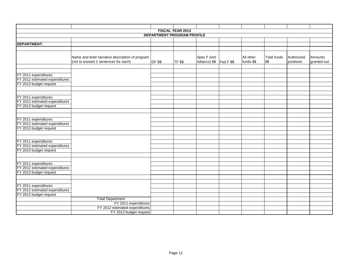|                                                        |                                                 |                | FISCAL YEAR 2013 |                         |  |            |                    |            |             |
|--------------------------------------------------------|-------------------------------------------------|----------------|------------------|-------------------------|--|------------|--------------------|------------|-------------|
| <b>DEPARTMENT PROGRAM PROFILE</b>                      |                                                 |                |                  |                         |  |            |                    |            |             |
|                                                        |                                                 |                |                  |                         |  |            |                    |            |             |
| <b>DEPARTMENT:</b>                                     |                                                 |                |                  |                         |  |            |                    |            |             |
|                                                        |                                                 |                |                  |                         |  |            |                    |            |             |
|                                                        |                                                 |                |                  |                         |  |            |                    |            |             |
|                                                        | Name and brief narrative description of program |                |                  | Spec F (incl            |  | All other  | <b>Total funds</b> | Authorized | Amounts     |
|                                                        | (not to exceed 2 sentences for each)            | <b>GF \$\$</b> | <b>TF \$\$</b>   | tobacco) $$$  Fed F $$$ |  | funds \$\$ | \$\$               | positions  | granted out |
|                                                        |                                                 |                |                  |                         |  |            |                    |            |             |
|                                                        |                                                 |                |                  |                         |  |            |                    |            |             |
| FY 2011 expenditures                                   |                                                 |                |                  |                         |  |            |                    |            |             |
| FY 2012 estimated expenditures                         |                                                 |                |                  |                         |  |            |                    |            |             |
| FY 2013 budget request                                 |                                                 |                |                  |                         |  |            |                    |            |             |
|                                                        |                                                 |                |                  |                         |  |            |                    |            |             |
|                                                        |                                                 |                |                  |                         |  |            |                    |            |             |
| FY 2011 expenditures                                   |                                                 |                |                  |                         |  |            |                    |            |             |
| FY 2012 estimated expenditures                         |                                                 |                |                  |                         |  |            |                    |            |             |
| FY 2013 budget request                                 |                                                 |                |                  |                         |  |            |                    |            |             |
|                                                        |                                                 |                |                  |                         |  |            |                    |            |             |
|                                                        |                                                 |                |                  |                         |  |            |                    |            |             |
| FY 2011 expenditures                                   |                                                 |                |                  |                         |  |            |                    |            |             |
| FY 2012 estimated expenditures                         |                                                 |                |                  |                         |  |            |                    |            |             |
| FY 2013 budget request                                 |                                                 |                |                  |                         |  |            |                    |            |             |
|                                                        |                                                 |                |                  |                         |  |            |                    |            |             |
|                                                        |                                                 |                |                  |                         |  |            |                    |            |             |
| FY 2011 expenditures                                   |                                                 |                |                  |                         |  |            |                    |            |             |
| FY 2012 estimated expenditures                         |                                                 |                |                  |                         |  |            |                    |            |             |
| FY 2013 budget request                                 |                                                 |                |                  |                         |  |            |                    |            |             |
|                                                        |                                                 |                |                  |                         |  |            |                    |            |             |
|                                                        |                                                 |                |                  |                         |  |            |                    |            |             |
| FY 2011 expenditures                                   |                                                 |                |                  |                         |  |            |                    |            |             |
| FY 2012 estimated expenditures                         |                                                 |                |                  |                         |  |            |                    |            |             |
| FY 2013 budget request                                 |                                                 |                |                  |                         |  |            |                    |            |             |
|                                                        |                                                 |                |                  |                         |  |            |                    |            |             |
|                                                        |                                                 |                |                  |                         |  |            |                    |            |             |
| FY 2011 expenditures<br>FY 2012 estimated expenditures |                                                 |                |                  |                         |  |            |                    |            |             |
| FY 2013 budget request                                 |                                                 |                |                  |                         |  |            |                    |            |             |
|                                                        | <b>Total Department</b>                         |                |                  |                         |  |            |                    |            |             |
|                                                        |                                                 |                |                  |                         |  |            |                    |            |             |
|                                                        | FY 2011 expenditures                            |                |                  |                         |  |            |                    |            |             |
|                                                        | FY 2012 estimated expenditures                  |                |                  |                         |  |            |                    |            |             |
|                                                        | FY 2013 budget request                          |                |                  |                         |  |            |                    |            |             |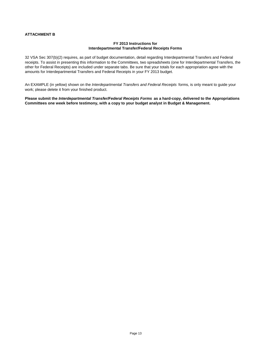#### **ATTACHMENT B**

#### **FY 2013 Instructions for Interdepartmental Transfer/Federal Receipts Forms**

32 VSA Sec 307(b)(2) requires, as part of budget documentation, detail regarding Interdepartmental Transfers and Federal receipts. To assist in presenting this information to the Committees, two spreadsheets (one for Interdepartmental Transfers, the other for Federal Receipts) are included under separate tabs. Be sure that your totals for each appropriation agree with the amounts for Interdepartmental Transfers and Federal Receipts in your FY 2013 budget.

An EXAMPLE (in yellow) shown on the *Interdepartmental Transfers and Federal Receipts* forms, is only meant to guide your work; please delete it from your finished product.

**Please submit the** *Interdepartmental Transfer/Federal Receipts Forms* **as a hard-copy, delivered to the Appropriations Committees one week before testimony, with a copy to your budget analyst in Budget & Management.**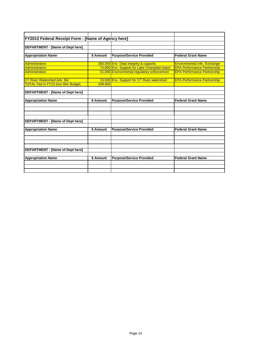| FY2013 Federal Receipt Form - [Name of Agency here] |           |                                              |                                     |
|-----------------------------------------------------|-----------|----------------------------------------------|-------------------------------------|
|                                                     |           |                                              |                                     |
| DEPARTMENT - [Name of Dept here]                    |           |                                              |                                     |
|                                                     |           |                                              |                                     |
| <b>Appropriation Name</b>                           | \$ Amount | <b>Purpose/Service Provided</b>              | <b>Federal Grant Name</b>           |
|                                                     |           |                                              |                                     |
| Administration                                      |           | 300,000 Env. Data integrity & capacity       | <b>Environmental Info. Exchange</b> |
| <b>Administration</b>                               |           | 72,900 Env. Support for Lake Champlain basin | <b>EPA Performance Partnership</b>  |
| <b>Administration</b>                               |           | 51,000 Environmental regulatory enforcement  | <b>EPA Performance Partnership</b>  |
|                                                     |           |                                              |                                     |
| <b>CT River Watershed Adv. Bd.</b>                  |           | 15,500 Env. Support for CT River watershed   | <b>EPA Performance Partnership</b>  |
| <b>TOTAL Fed in FY13 Gov Rec Budget</b>             | 439,400   |                                              |                                     |
|                                                     |           |                                              |                                     |
| DEPARTMENT - [Name of Dept here]                    |           |                                              |                                     |
|                                                     |           |                                              |                                     |
| <b>Appropriation Name</b>                           | \$ Amount | <b>Purpose/Service Provided</b>              | <b>Federal Grant Name</b>           |
|                                                     |           |                                              |                                     |
|                                                     |           |                                              |                                     |
|                                                     |           |                                              |                                     |
|                                                     |           |                                              |                                     |
| <b>DEPARTMENT - [Name of Dept here]</b>             |           |                                              |                                     |
|                                                     |           |                                              |                                     |
| <b>Appropriation Name</b>                           | \$ Amount | <b>Purpose/Service Provided</b>              | <b>Federal Grant Name</b>           |
|                                                     |           |                                              |                                     |
|                                                     |           |                                              |                                     |
|                                                     |           |                                              |                                     |
|                                                     |           |                                              |                                     |
| <b>DEPARTMENT - [Name of Dept here]</b>             |           |                                              |                                     |
|                                                     |           |                                              |                                     |
| <b>Appropriation Name</b>                           | \$ Amount | <b>Purpose/Service Provided</b>              | <b>Federal Grant Name</b>           |
|                                                     |           |                                              |                                     |
|                                                     |           |                                              |                                     |
|                                                     |           |                                              |                                     |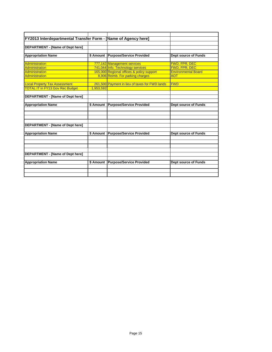| DEPARTMENT - [Name of Dept here]       |           |                                                |                            |
|----------------------------------------|-----------|------------------------------------------------|----------------------------|
| <b>Appropriation Name</b>              | \$ Amount | <b>Purpose/Service Provided</b>                | Dept source of Funds       |
| Administration                         |           | 777,142 Management services                    | <b>FWD, FPR, DEC</b>       |
| <b>Administration</b>                  |           | 741,044 Info. Technology services              | FWD, FPR, DEC              |
| <b>Administration</b>                  |           | 165,000 Regional offices & policy support      | <b>Environmental Board</b> |
| <b>Administration</b>                  |           | 8,906 Reimb. For parking charges               | <b>AOT</b>                 |
| <b>Local Property Tax Assessment</b>   |           | 261,500 Payment in lieu of taxes for FWD lands | <b>FWD</b>                 |
| <b>TOTAL IT in FY13 Gov Rec Budget</b> | 1,953,592 |                                                |                            |
| <b>Appropriation Name</b>              | \$ Amount | <b>Purpose/Service Provided</b>                | Dept source of Funds       |
| DEPARTMENT - [Name of Dept here]       |           |                                                |                            |
| <b>Appropriation Name</b>              | \$ Amount | <b>Purpose/Service Provided</b>                | Dept source of Funds       |
|                                        |           |                                                |                            |
|                                        |           |                                                |                            |
| DEPARTMENT - [Name of Dept here]       |           |                                                |                            |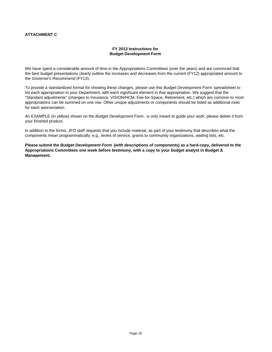#### **ATTACHMENT C**

#### **FY 2013 Instructions for Budget Development Form**

We have spent a considerable amount of time in the Appropriations Committees (over the years) and are convinced that the best budget presentations clearly outline the increases and decreases from the current (FY12) appropriated amount to the Governor's Recommend (FY13).

To provide a standardized format for showing these changes, please use this *Budget Development Form* spreadsheet to list each appropriation in your Department, with each significant element in that appropriation. We suggest that the "Standard adjustments" (changes to Insurance, VISION/HCM, Fee-for-Space, Retirement, etc.) which are common to most appropriations can be summed on one row. Other unique adjustments or components should be listed as additional rows for each appropriation.

An EXAMPLE (in yellow) shown on the *Budget Development Form* , is only meant to guide your work; please delete it from your finished product.

In addition to the forms, JFO staff requests that you include material, as part of your testimony that describes what the components mean programmatically: e.g., levels of service, grants to community organizations, waiting lists, etc.

**Please submit the** *Budget Development Form* **(with descriptions of components) as a hard-copy, delivered to the Appropriations Committees one week before testimony, with a copy to your budget analyst in Budget & Management.**